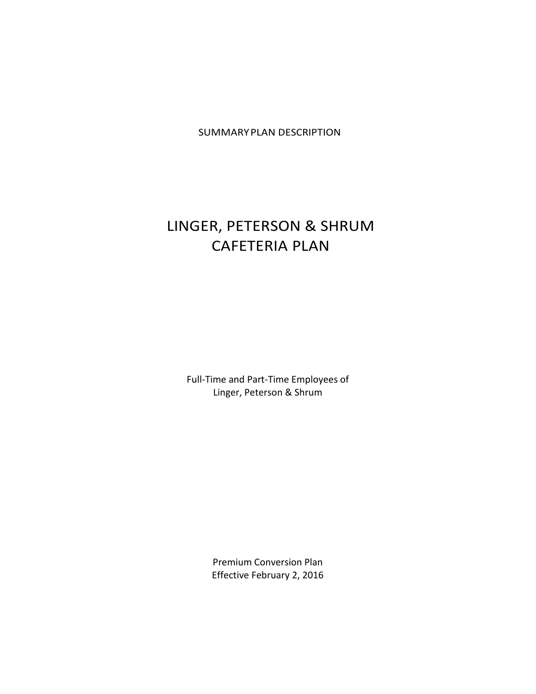SUMMARYPLAN DESCRIPTION

# LINGER, PETERSON & SHRUM CAFETERIA PLAN

Full-Time and Part-Time Employees of Linger, Peterson & Shrum

> Premium Conversion Plan Effective February 2, 2016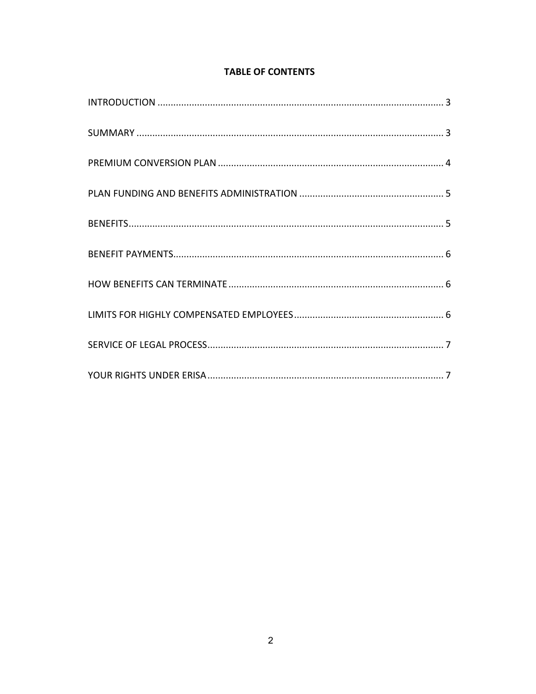| <b>TABLE OF CONTENTS</b> |  |  |
|--------------------------|--|--|
|                          |  |  |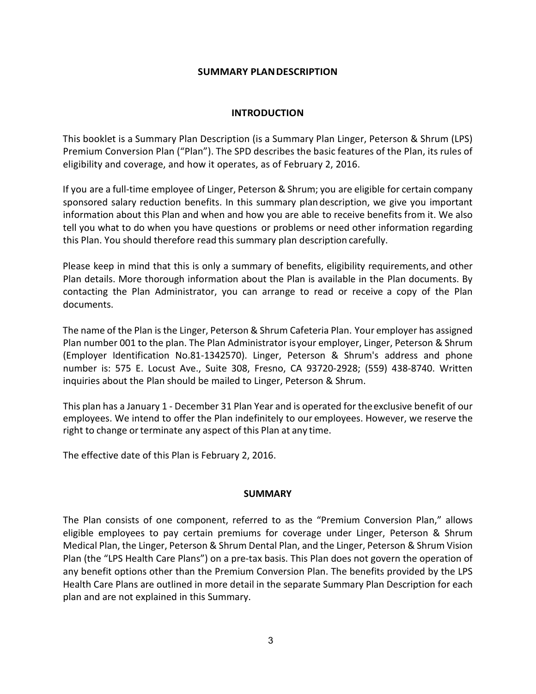#### **SUMMARY PLANDESCRIPTION**

# **INTRODUCTION**

This booklet is a Summary Plan Description (is a Summary Plan Linger, Peterson & Shrum (LPS) Premium Conversion Plan ("Plan"). The SPD describes the basic features of the Plan, its rules of eligibility and coverage, and how it operates, as of February 2, 2016.

If you are a full-time employee of Linger, Peterson & Shrum; you are eligible for certain company sponsored salary reduction benefits. In this summary plan description, we give you important information about this Plan and when and how you are able to receive benefits from it. We also tell you what to do when you have questions or problems or need other information regarding this Plan. You should therefore read this summary plan description carefully.

Please keep in mind that this is only a summary of benefits, eligibility requirements, and other Plan details. More thorough information about the Plan is available in the Plan documents. By contacting the Plan Administrator, you can arrange to read or receive a copy of the Plan documents.

The name of the Plan is the Linger, Peterson & Shrum Cafeteria Plan. Your employer has assigned Plan number 001 to the plan. The Plan Administrator isyour employer, Linger, Peterson & Shrum (Employer Identification No.81-1342570). Linger, Peterson & Shrum's address and phone number is: 575 E. Locust Ave., Suite 308, Fresno, CA 93720-2928; (559) 438-8740. Written inquiries about the Plan should be mailed to Linger, Peterson & Shrum.

This plan has a January 1 - December 31 Plan Year and is operated for theexclusive benefit of our employees. We intend to offer the Plan indefinitely to our employees. However, we reserve the right to change or terminate any aspect of this Plan at any time.

The effective date of this Plan is February 2, 2016.

# **SUMMARY**

The Plan consists of one component, referred to as the "Premium Conversion Plan," allows eligible employees to pay certain premiums for coverage under Linger, Peterson & Shrum Medical Plan, the Linger, Peterson & Shrum Dental Plan, and the Linger, Peterson & Shrum Vision Plan (the "LPS Health Care Plans") on a pre-tax basis. This Plan does not govern the operation of any benefit options other than the Premium Conversion Plan. The benefits provided by the LPS Health Care Plans are outlined in more detail in the separate Summary Plan Description for each plan and are not explained in this Summary.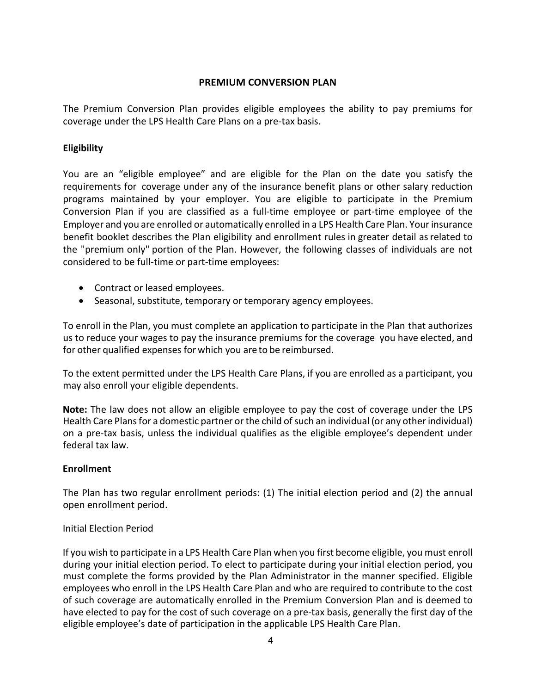# **PREMIUM CONVERSION PLAN**

The Premium Conversion Plan provides eligible employees the ability to pay premiums for coverage under the LPS Health Care Plans on a pre-tax basis.

# **Eligibility**

You are an "eligible employee" and are eligible for the Plan on the date you satisfy the requirements for coverage under any of the insurance benefit plans or other salary reduction programs maintained by your employer. You are eligible to participate in the Premium Conversion Plan if you are classified as a full-time employee or part-time employee of the Employer and you are enrolled or automatically enrolled in a LPS Health Care Plan. Your insurance benefit booklet describes the Plan eligibility and enrollment rules in greater detail asrelated to the "premium only" portion of the Plan. However, the following classes of individuals are not considered to be full-time or part-time employees:

- Contract or leased employees.
- Seasonal, substitute, temporary or temporary agency employees.

To enroll in the Plan, you must complete an application to participate in the Plan that authorizes us to reduce your wages to pay the insurance premiums for the coverage you have elected, and for other qualified expenses for which you areto be reimbursed.

To the extent permitted under the LPS Health Care Plans, if you are enrolled as a participant, you may also enroll your eligible dependents.

**Note:** The law does not allow an eligible employee to pay the cost of coverage under the LPS Health Care Plans for a domestic partner or the child of such an individual (or any other individual) on a pre-tax basis, unless the individual qualifies as the eligible employee's dependent under federal tax law.

# **Enrollment**

The Plan has two regular enrollment periods: (1) The initial election period and (2) the annual open enrollment period.

# Initial Election Period

If you wish to participate in a LPS Health Care Plan when you first become eligible, you must enroll during your initial election period. To elect to participate during your initial election period, you must complete the forms provided by the Plan Administrator in the manner specified. Eligible employees who enroll in the LPS Health Care Plan and who are required to contribute to the cost of such coverage are automatically enrolled in the Premium Conversion Plan and is deemed to have elected to pay for the cost of such coverage on a pre-tax basis, generally the first day of the eligible employee's date of participation in the applicable LPS Health Care Plan.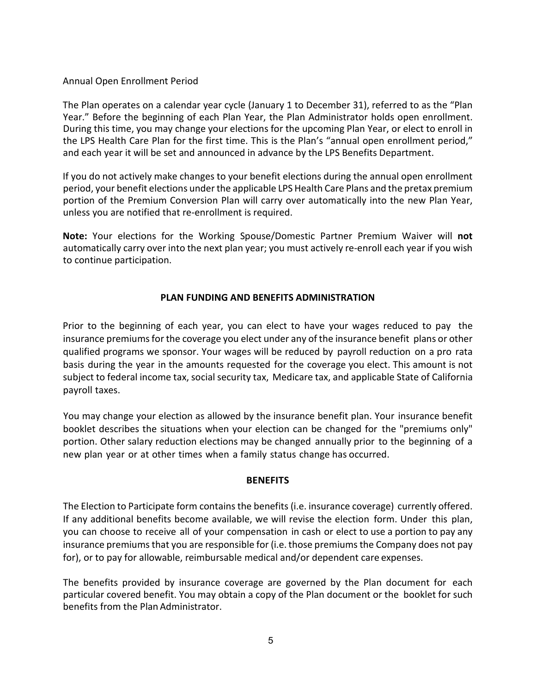#### Annual Open Enrollment Period

The Plan operates on a calendar year cycle (January 1 to December 31), referred to as the "Plan Year." Before the beginning of each Plan Year, the Plan Administrator holds open enrollment. During this time, you may change your elections for the upcoming Plan Year, or elect to enroll in the LPS Health Care Plan for the first time. This is the Plan's "annual open enrollment period," and each year it will be set and announced in advance by the LPS Benefits Department.

If you do not actively make changes to your benefit elections during the annual open enrollment period, your benefit elections under the applicable LPS Health Care Plans and the pretax premium portion of the Premium Conversion Plan will carry over automatically into the new Plan Year, unless you are notified that re-enrollment is required.

**Note:** Your elections for the Working Spouse/Domestic Partner Premium Waiver will **not** automatically carry over into the next plan year; you must actively re-enroll each year if you wish to continue participation.

#### **PLAN FUNDING AND BENEFITS ADMINISTRATION**

Prior to the beginning of each year, you can elect to have your wages reduced to pay the insurance premiums for the coverage you elect under any of the insurance benefit plans or other qualified programs we sponsor. Your wages will be reduced by payroll reduction on a pro rata basis during the year in the amounts requested for the coverage you elect. This amount is not subject to federal income tax, social security tax, Medicare tax, and applicable State of California payroll taxes.

You may change your election as allowed by the insurance benefit plan. Your insurance benefit booklet describes the situations when your election can be changed for the "premiums only" portion. Other salary reduction elections may be changed annually prior to the beginning of a new plan year or at other times when a family status change has occurred.

#### **BENEFITS**

The Election to Participate form contains the benefits (i.e. insurance coverage) currently offered. If any additional benefits become available, we will revise the election form. Under this plan, you can choose to receive all of your compensation in cash or elect to use a portion to pay any insurance premiums that you are responsible for (i.e. those premiums the Company does not pay for), or to pay for allowable, reimbursable medical and/or dependent care expenses.

The benefits provided by insurance coverage are governed by the Plan document for each particular covered benefit. You may obtain a copy of the Plan document or the booklet for such benefits from the Plan Administrator.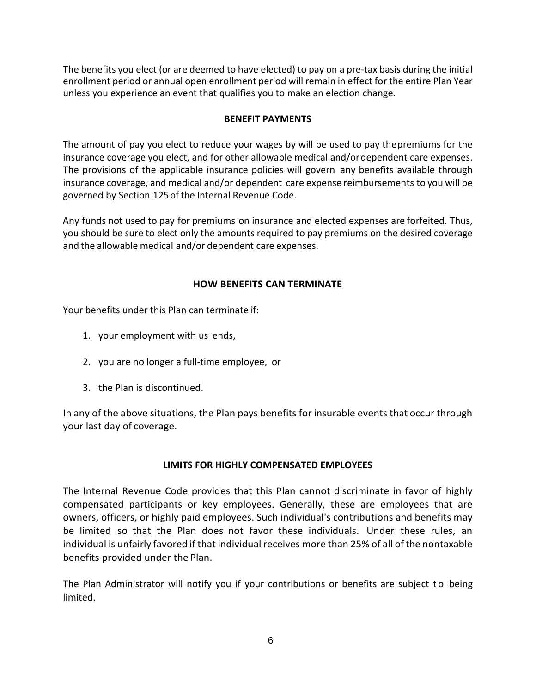The benefits you elect (or are deemed to have elected) to pay on a pre-tax basis during the initial enrollment period or annual open enrollment period will remain in effect for the entire Plan Year unless you experience an event that qualifies you to make an election change.

# **BENEFIT PAYMENTS**

The amount of pay you elect to reduce your wages by will be used to pay thepremiums for the insurance coverage you elect, and for other allowable medical and/ordependent care expenses. The provisions of the applicable insurance policies will govern any benefits available through insurance coverage, and medical and/or dependent care expense reimbursements to you will be governed by Section 125ofthe Internal Revenue Code.

Any funds not used to pay for premiums on insurance and elected expenses are forfeited. Thus, you should be sure to elect only the amounts required to pay premiums on the desired coverage and the allowable medical and/or dependent care expenses.

# **HOW BENEFITS CAN TERMINATE**

Your benefits under this Plan can terminate if:

- 1. your employment with us ends,
- 2. you are no longer a full-time employee, or
- 3. the Plan is discontinued.

In any of the above situations, the Plan pays benefits for insurable events that occur through your last day of coverage.

# **LIMITS FOR HIGHLY COMPENSATED EMPLOYEES**

The Internal Revenue Code provides that this Plan cannot discriminate in favor of highly compensated participants or key employees. Generally, these are employees that are owners, officers, or highly paid employees. Such individual's contributions and benefits may be limited so that the Plan does not favor these individuals. Under these rules, an individual is unfairly favored if that individual receives more than 25% of all ofthe nontaxable benefits provided under the Plan.

The Plan Administrator will notify you if your contributions or benefits are subject t o being limited.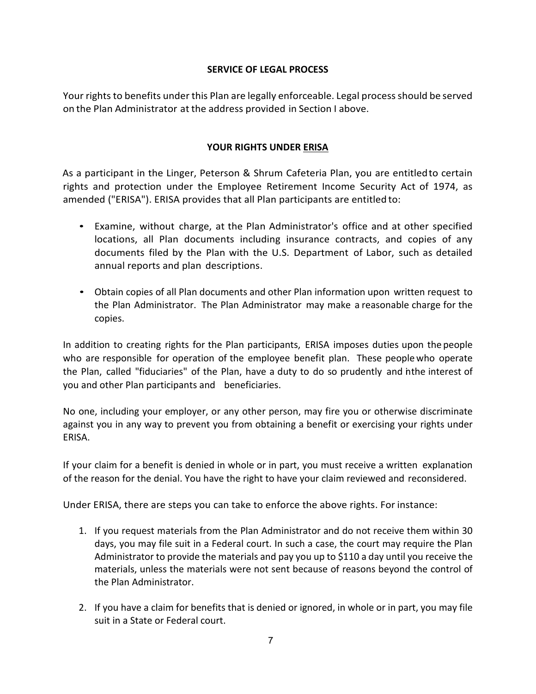# **SERVICE OF LEGAL PROCESS**

Your rights to benefits under this Plan are legally enforceable. Legal process should be served on the Plan Administrator at the address provided in Section I above.

# **YOUR RIGHTS UNDER ERISA**

As a participant in the Linger, Peterson & Shrum Cafeteria Plan, you are entitledto certain rights and protection under the Employee Retirement Income Security Act of 1974, as amended ("ERISA"). ERISA provides that all Plan participants are entitled to:

- Examine, without charge, at the Plan Administrator's office and at other specified locations, all Plan documents including insurance contracts, and copies of any documents filed by the Plan with the U.S. Department of Labor, such as detailed annual reports and plan descriptions.
- Obtain copies of all Plan documents and other Plan information upon written request to the Plan Administrator. The Plan Administrator may make a reasonable charge for the copies.

In addition to creating rights for the Plan participants, ERISA imposes duties upon the people who are responsible for operation of the employee benefit plan. These peoplewho operate the Plan, called "fiduciaries" of the Plan, have a duty to do so prudently and inthe interest of you and other Plan participants and beneficiaries.

No one, including your employer, or any other person, may fire you or otherwise discriminate against you in any way to prevent you from obtaining a benefit or exercising your rights under ERISA.

If your claim for a benefit is denied in whole or in part, you must receive a written explanation of the reason for the denial. You have the right to have your claim reviewed and reconsidered.

Under ERISA, there are steps you can take to enforce the above rights. For instance:

- 1. If you request materials from the Plan Administrator and do not receive them within 30 days, you may file suit in a Federal court. In such a case, the court may require the Plan Administrator to provide the materials and pay you up to \$110 a day until you receive the materials, unless the materials were not sent because of reasons beyond the control of the Plan Administrator.
- 2. If you have a claim for benefits that is denied or ignored, in whole or in part, you may file suit in a State or Federal court.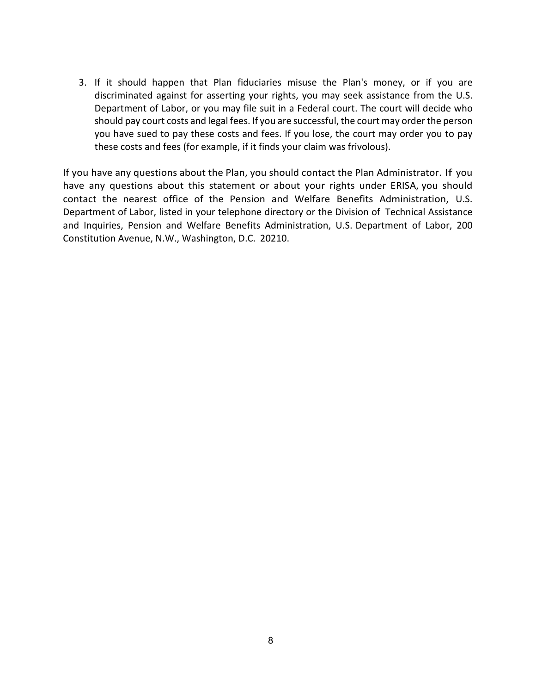3. If it should happen that Plan fiduciaries misuse the Plan's money, or if you are discriminated against for asserting your rights, you may seek assistance from the U.S. Department of Labor, or you may file suit in a Federal court. The court will decide who should pay court costs and legal fees. If you are successful, the court may order the person you have sued to pay these costs and fees. If you lose, the court may order you to pay these costs and fees (for example, if it finds your claim was frivolous).

If you have any questions about the Plan, you should contact the Plan Administrator. If you have any questions about this statement or about your rights under ERISA, you should contact the nearest office of the Pension and Welfare Benefits Administration, U.S. Department of Labor, listed in your telephone directory or the Division of Technical Assistance and Inquiries, Pension and Welfare Benefits Administration, U.S. Department of Labor, 200 Constitution Avenue, N.W., Washington, D.C. 20210.